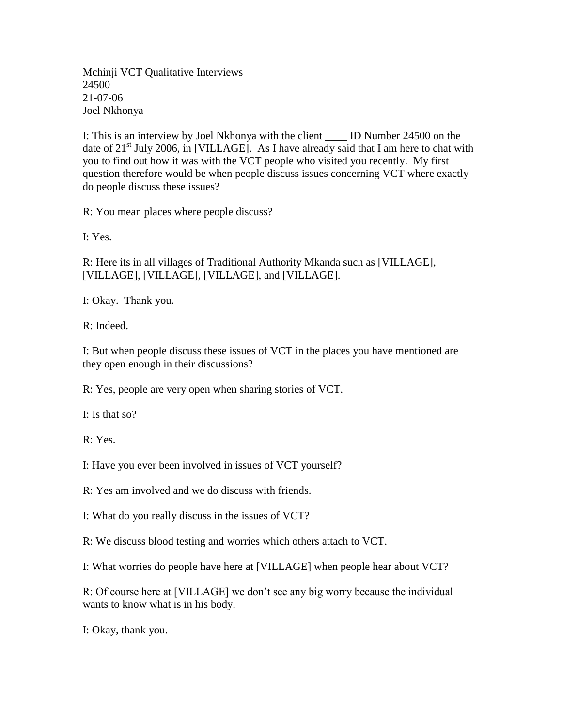Mchinji VCT Qualitative Interviews 24500 21-07-06 Joel Nkhonya

I: This is an interview by Joel Nkhonya with the client \_\_\_\_ ID Number 24500 on the date of  $21<sup>st</sup>$  July 2006, in [VILLAGE]. As I have already said that I am here to chat with you to find out how it was with the VCT people who visited you recently. My first question therefore would be when people discuss issues concerning VCT where exactly do people discuss these issues?

R: You mean places where people discuss?

I: Yes.

R: Here its in all villages of Traditional Authority Mkanda such as [VILLAGE], [VILLAGE], [VILLAGE], [VILLAGE], and [VILLAGE].

I: Okay. Thank you.

R: Indeed.

I: But when people discuss these issues of VCT in the places you have mentioned are they open enough in their discussions?

R: Yes, people are very open when sharing stories of VCT.

I: Is that so?

R: Yes.

I: Have you ever been involved in issues of VCT yourself?

R: Yes am involved and we do discuss with friends.

I: What do you really discuss in the issues of VCT?

R: We discuss blood testing and worries which others attach to VCT.

I: What worries do people have here at [VILLAGE] when people hear about VCT?

R: Of course here at [VILLAGE] we don't see any big worry because the individual wants to know what is in his body.

I: Okay, thank you.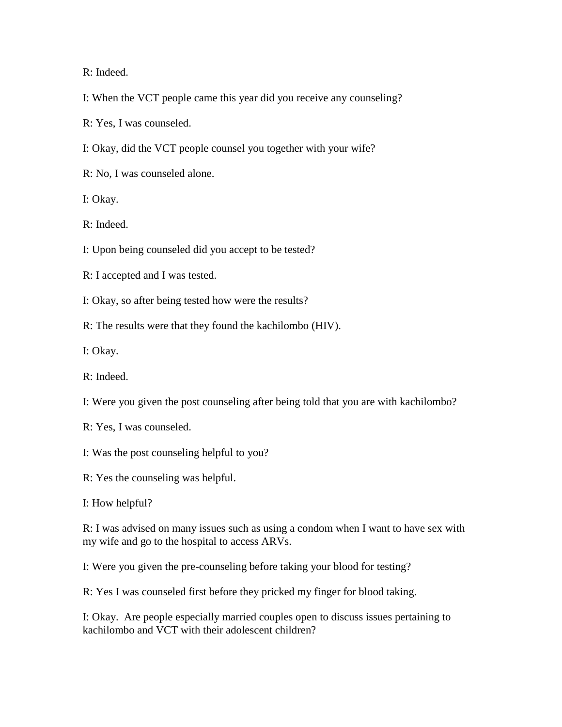R: Indeed.

I: When the VCT people came this year did you receive any counseling?

R: Yes, I was counseled.

I: Okay, did the VCT people counsel you together with your wife?

R: No, I was counseled alone.

I: Okay.

R: Indeed.

I: Upon being counseled did you accept to be tested?

R: I accepted and I was tested.

I: Okay, so after being tested how were the results?

R: The results were that they found the kachilombo (HIV).

I: Okay.

R: Indeed.

I: Were you given the post counseling after being told that you are with kachilombo?

R: Yes, I was counseled.

I: Was the post counseling helpful to you?

R: Yes the counseling was helpful.

I: How helpful?

R: I was advised on many issues such as using a condom when I want to have sex with my wife and go to the hospital to access ARVs.

I: Were you given the pre-counseling before taking your blood for testing?

R: Yes I was counseled first before they pricked my finger for blood taking.

I: Okay. Are people especially married couples open to discuss issues pertaining to kachilombo and VCT with their adolescent children?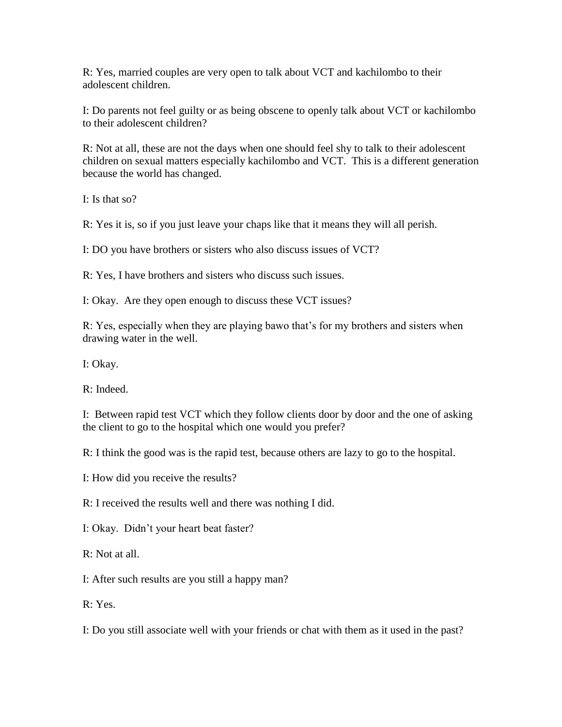R: Yes, married couples are very open to talk about VCT and kachilombo to their adolescent children.

I: Do parents not feel guilty or as being obscene to openly talk about VCT or kachilombo to their adolescent children?

R: Not at all, these are not the days when one should feel shy to talk to their adolescent children on sexual matters especially kachilombo and VCT. This is a different generation because the world has changed.

I: Is that so?

R: Yes it is, so if you just leave your chaps like that it means they will all perish.

I: DO you have brothers or sisters who also discuss issues of VCT?

R: Yes, I have brothers and sisters who discuss such issues.

I: Okay. Are they open enough to discuss these VCT issues?

R: Yes, especially when they are playing bawo that's for my brothers and sisters when drawing water in the well.

I: Okay.

R: Indeed.

I: Between rapid test VCT which they follow clients door by door and the one of asking the client to go to the hospital which one would you prefer?

R: I think the good was is the rapid test, because others are lazy to go to the hospital.

I: How did you receive the results?

R: I received the results well and there was nothing I did.

I: Okay. Didn't your heart beat faster?

R: Not at all.

I: After such results are you still a happy man?

R: Yes.

I: Do you still associate well with your friends or chat with them as it used in the past?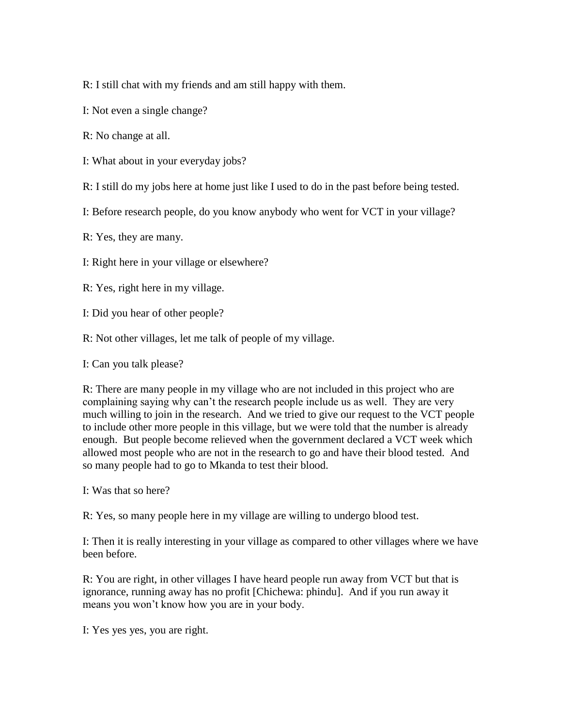R: I still chat with my friends and am still happy with them.

I: Not even a single change?

R: No change at all.

I: What about in your everyday jobs?

R: I still do my jobs here at home just like I used to do in the past before being tested.

I: Before research people, do you know anybody who went for VCT in your village?

R: Yes, they are many.

I: Right here in your village or elsewhere?

R: Yes, right here in my village.

I: Did you hear of other people?

R: Not other villages, let me talk of people of my village.

I: Can you talk please?

R: There are many people in my village who are not included in this project who are complaining saying why can't the research people include us as well. They are very much willing to join in the research. And we tried to give our request to the VCT people to include other more people in this village, but we were told that the number is already enough. But people become relieved when the government declared a VCT week which allowed most people who are not in the research to go and have their blood tested. And so many people had to go to Mkanda to test their blood.

I: Was that so here?

R: Yes, so many people here in my village are willing to undergo blood test.

I: Then it is really interesting in your village as compared to other villages where we have been before.

R: You are right, in other villages I have heard people run away from VCT but that is ignorance, running away has no profit [Chichewa: phindu]. And if you run away it means you won't know how you are in your body.

I: Yes yes yes, you are right.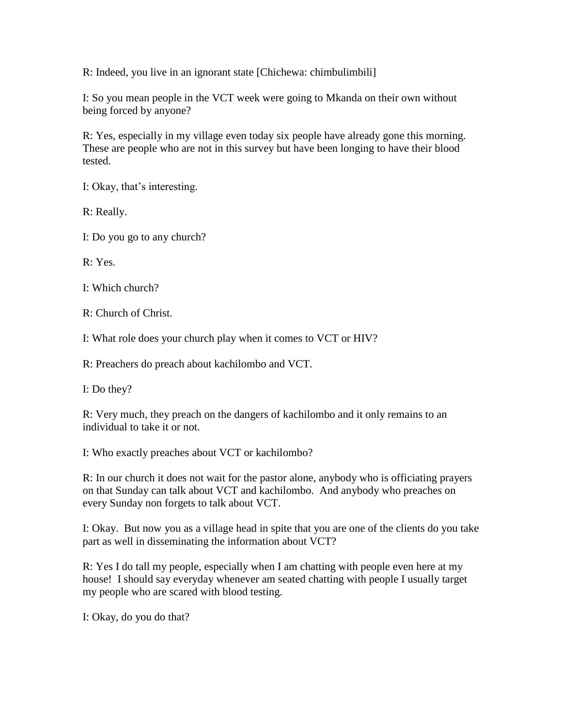R: Indeed, you live in an ignorant state [Chichewa: chimbulimbili]

I: So you mean people in the VCT week were going to Mkanda on their own without being forced by anyone?

R: Yes, especially in my village even today six people have already gone this morning. These are people who are not in this survey but have been longing to have their blood tested.

I: Okay, that's interesting.

R: Really.

I: Do you go to any church?

R: Yes.

I: Which church?

R: Church of Christ.

I: What role does your church play when it comes to VCT or HIV?

R: Preachers do preach about kachilombo and VCT.

I: Do they?

R: Very much, they preach on the dangers of kachilombo and it only remains to an individual to take it or not.

I: Who exactly preaches about VCT or kachilombo?

R: In our church it does not wait for the pastor alone, anybody who is officiating prayers on that Sunday can talk about VCT and kachilombo. And anybody who preaches on every Sunday non forgets to talk about VCT.

I: Okay. But now you as a village head in spite that you are one of the clients do you take part as well in disseminating the information about VCT?

R: Yes I do tall my people, especially when I am chatting with people even here at my house! I should say everyday whenever am seated chatting with people I usually target my people who are scared with blood testing.

I: Okay, do you do that?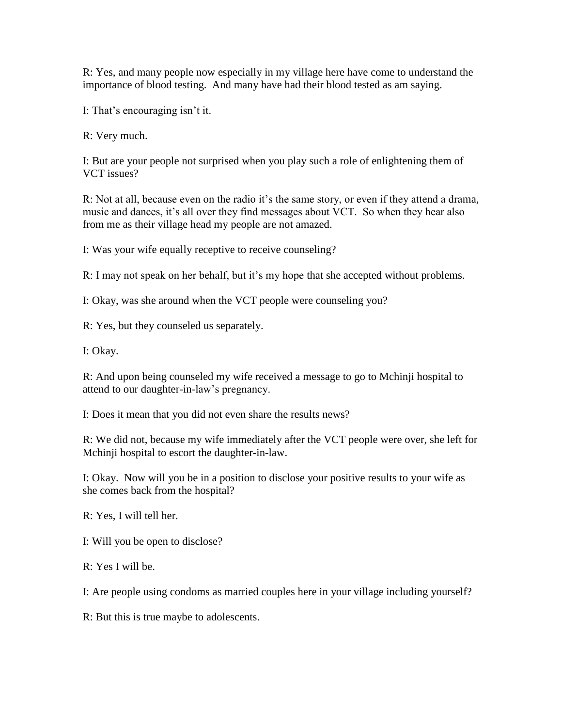R: Yes, and many people now especially in my village here have come to understand the importance of blood testing. And many have had their blood tested as am saying.

I: That's encouraging isn't it.

R: Very much.

I: But are your people not surprised when you play such a role of enlightening them of VCT issues?

R: Not at all, because even on the radio it's the same story, or even if they attend a drama, music and dances, it's all over they find messages about VCT. So when they hear also from me as their village head my people are not amazed.

I: Was your wife equally receptive to receive counseling?

R: I may not speak on her behalf, but it's my hope that she accepted without problems.

I: Okay, was she around when the VCT people were counseling you?

R: Yes, but they counseled us separately.

I: Okay.

R: And upon being counseled my wife received a message to go to Mchinji hospital to attend to our daughter-in-law's pregnancy.

I: Does it mean that you did not even share the results news?

R: We did not, because my wife immediately after the VCT people were over, she left for Mchinji hospital to escort the daughter-in-law.

I: Okay. Now will you be in a position to disclose your positive results to your wife as she comes back from the hospital?

R: Yes, I will tell her.

I: Will you be open to disclose?

R: Yes I will be.

I: Are people using condoms as married couples here in your village including yourself?

R: But this is true maybe to adolescents.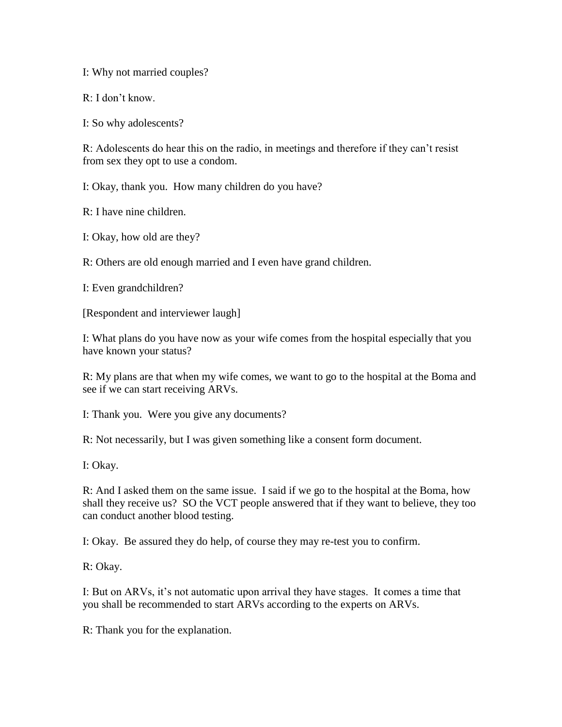I: Why not married couples?

R: I don't know.

I: So why adolescents?

R: Adolescents do hear this on the radio, in meetings and therefore if they can't resist from sex they opt to use a condom.

I: Okay, thank you. How many children do you have?

R: I have nine children.

I: Okay, how old are they?

R: Others are old enough married and I even have grand children.

I: Even grandchildren?

[Respondent and interviewer laugh]

I: What plans do you have now as your wife comes from the hospital especially that you have known your status?

R: My plans are that when my wife comes, we want to go to the hospital at the Boma and see if we can start receiving ARVs.

I: Thank you. Were you give any documents?

R: Not necessarily, but I was given something like a consent form document.

I: Okay.

R: And I asked them on the same issue. I said if we go to the hospital at the Boma, how shall they receive us? SO the VCT people answered that if they want to believe, they too can conduct another blood testing.

I: Okay. Be assured they do help, of course they may re-test you to confirm.

R: Okay.

I: But on ARVs, it's not automatic upon arrival they have stages. It comes a time that you shall be recommended to start ARVs according to the experts on ARVs.

R: Thank you for the explanation.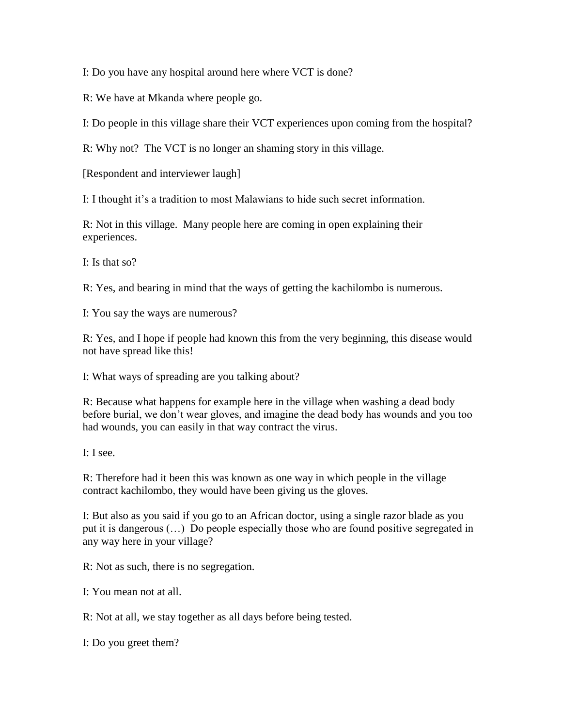I: Do you have any hospital around here where VCT is done?

R: We have at Mkanda where people go.

I: Do people in this village share their VCT experiences upon coming from the hospital?

R: Why not? The VCT is no longer an shaming story in this village.

[Respondent and interviewer laugh]

I: I thought it's a tradition to most Malawians to hide such secret information.

R: Not in this village. Many people here are coming in open explaining their experiences.

I: Is that so?

R: Yes, and bearing in mind that the ways of getting the kachilombo is numerous.

I: You say the ways are numerous?

R: Yes, and I hope if people had known this from the very beginning, this disease would not have spread like this!

I: What ways of spreading are you talking about?

R: Because what happens for example here in the village when washing a dead body before burial, we don't wear gloves, and imagine the dead body has wounds and you too had wounds, you can easily in that way contract the virus.

I: I see.

R: Therefore had it been this was known as one way in which people in the village contract kachilombo, they would have been giving us the gloves.

I: But also as you said if you go to an African doctor, using a single razor blade as you put it is dangerous (…) Do people especially those who are found positive segregated in any way here in your village?

R: Not as such, there is no segregation.

I: You mean not at all.

R: Not at all, we stay together as all days before being tested.

I: Do you greet them?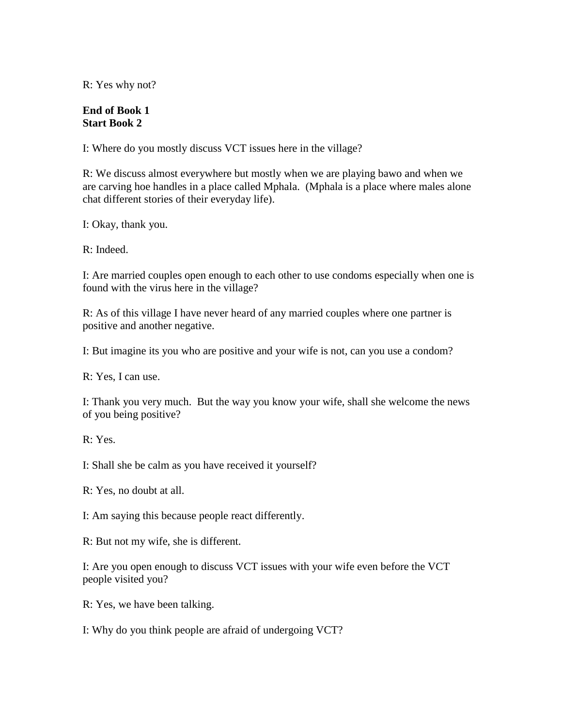R: Yes why not?

## **End of Book 1 Start Book 2**

I: Where do you mostly discuss VCT issues here in the village?

R: We discuss almost everywhere but mostly when we are playing bawo and when we are carving hoe handles in a place called Mphala. (Mphala is a place where males alone chat different stories of their everyday life).

I: Okay, thank you.

R: Indeed.

I: Are married couples open enough to each other to use condoms especially when one is found with the virus here in the village?

R: As of this village I have never heard of any married couples where one partner is positive and another negative.

I: But imagine its you who are positive and your wife is not, can you use a condom?

R: Yes, I can use.

I: Thank you very much. But the way you know your wife, shall she welcome the news of you being positive?

R: Yes.

I: Shall she be calm as you have received it yourself?

R: Yes, no doubt at all.

I: Am saying this because people react differently.

R: But not my wife, she is different.

I: Are you open enough to discuss VCT issues with your wife even before the VCT people visited you?

R: Yes, we have been talking.

I: Why do you think people are afraid of undergoing VCT?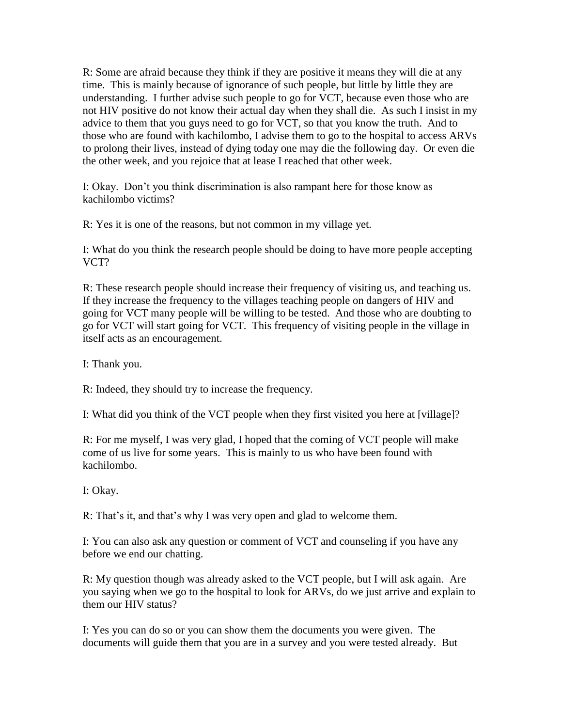R: Some are afraid because they think if they are positive it means they will die at any time. This is mainly because of ignorance of such people, but little by little they are understanding. I further advise such people to go for VCT, because even those who are not HIV positive do not know their actual day when they shall die. As such I insist in my advice to them that you guys need to go for VCT, so that you know the truth. And to those who are found with kachilombo, I advise them to go to the hospital to access ARVs to prolong their lives, instead of dying today one may die the following day. Or even die the other week, and you rejoice that at lease I reached that other week.

I: Okay. Don't you think discrimination is also rampant here for those know as kachilombo victims?

R: Yes it is one of the reasons, but not common in my village yet.

I: What do you think the research people should be doing to have more people accepting VCT?

R: These research people should increase their frequency of visiting us, and teaching us. If they increase the frequency to the villages teaching people on dangers of HIV and going for VCT many people will be willing to be tested. And those who are doubting to go for VCT will start going for VCT. This frequency of visiting people in the village in itself acts as an encouragement.

I: Thank you.

R: Indeed, they should try to increase the frequency.

I: What did you think of the VCT people when they first visited you here at [village]?

R: For me myself, I was very glad, I hoped that the coming of VCT people will make come of us live for some years. This is mainly to us who have been found with kachilombo.

I: Okay.

R: That's it, and that's why I was very open and glad to welcome them.

I: You can also ask any question or comment of VCT and counseling if you have any before we end our chatting.

R: My question though was already asked to the VCT people, but I will ask again. Are you saying when we go to the hospital to look for ARVs, do we just arrive and explain to them our HIV status?

I: Yes you can do so or you can show them the documents you were given. The documents will guide them that you are in a survey and you were tested already. But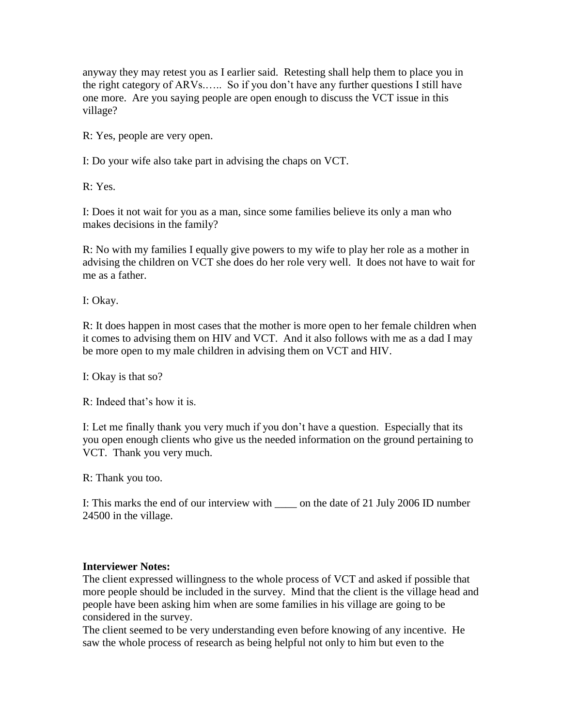anyway they may retest you as I earlier said. Retesting shall help them to place you in the right category of ARVs.….. So if you don't have any further questions I still have one more. Are you saying people are open enough to discuss the VCT issue in this village?

R: Yes, people are very open.

I: Do your wife also take part in advising the chaps on VCT.

R: Yes.

I: Does it not wait for you as a man, since some families believe its only a man who makes decisions in the family?

R: No with my families I equally give powers to my wife to play her role as a mother in advising the children on VCT she does do her role very well. It does not have to wait for me as a father.

I: Okay.

R: It does happen in most cases that the mother is more open to her female children when it comes to advising them on HIV and VCT. And it also follows with me as a dad I may be more open to my male children in advising them on VCT and HIV.

I: Okay is that so?

R: Indeed that's how it is.

I: Let me finally thank you very much if you don't have a question. Especially that its you open enough clients who give us the needed information on the ground pertaining to VCT. Thank you very much.

R: Thank you too.

I: This marks the end of our interview with on the date of 21 July 2006 ID number 24500 in the village.

## **Interviewer Notes:**

The client expressed willingness to the whole process of VCT and asked if possible that more people should be included in the survey. Mind that the client is the village head and people have been asking him when are some families in his village are going to be considered in the survey.

The client seemed to be very understanding even before knowing of any incentive. He saw the whole process of research as being helpful not only to him but even to the